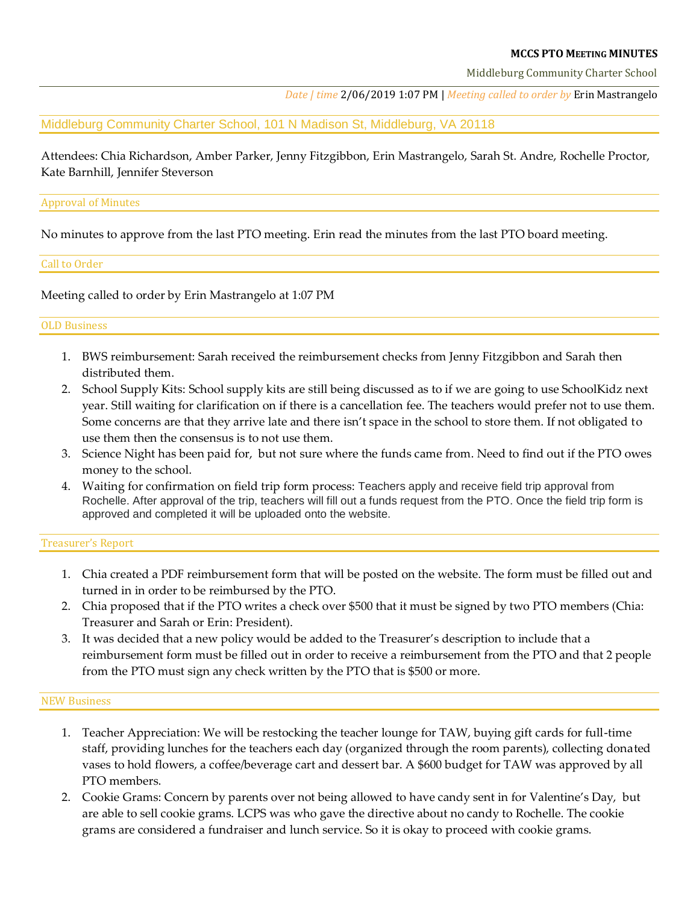### **MCCS PTO MEETING MINUTES**

Middleburg Community Charter School

*Date | time* 2/06/2019 1:07 PM | *Meeting called to order by* Erin Mastrangelo

Middleburg Community Charter School, 101 N Madison St, Middleburg, VA 20118

Attendees: Chia Richardson, Amber Parker, Jenny Fitzgibbon, Erin Mastrangelo, Sarah St. Andre, Rochelle Proctor, Kate Barnhill, Jennifer Steverson

### Approval of Minutes

No minutes to approve from the last PTO meeting. Erin read the minutes from the last PTO board meeting.

## Call to Order

Meeting called to order by Erin Mastrangelo at 1:07 PM

## OLD Business

- 1. BWS reimbursement: Sarah received the reimbursement checks from Jenny Fitzgibbon and Sarah then distributed them.
- 2. School Supply Kits: School supply kits are still being discussed as to if we are going to use SchoolKidz next year. Still waiting for clarification on if there is a cancellation fee. The teachers would prefer not to use them. Some concerns are that they arrive late and there isn't space in the school to store them. If not obligated to use them then the consensus is to not use them.
- 3. Science Night has been paid for, but not sure where the funds came from. Need to find out if the PTO owes money to the school.
- 4. Waiting for confirmation on field trip form process: Teachers apply and receive field trip approval from Rochelle. After approval of the trip, teachers will fill out a funds request from the PTO. Once the field trip form is approved and completed it will be uploaded onto the website.

# Treasurer's Report

- 1. Chia created a PDF reimbursement form that will be posted on the website. The form must be filled out and turned in in order to be reimbursed by the PTO.
- 2. Chia proposed that if the PTO writes a check over \$500 that it must be signed by two PTO members (Chia: Treasurer and Sarah or Erin: President).
- 3. It was decided that a new policy would be added to the Treasurer's description to include that a reimbursement form must be filled out in order to receive a reimbursement from the PTO and that 2 people from the PTO must sign any check written by the PTO that is \$500 or more.

### NEW Business

- 1. Teacher Appreciation: We will be restocking the teacher lounge for TAW, buying gift cards for full-time staff, providing lunches for the teachers each day (organized through the room parents), collecting donated vases to hold flowers, a coffee/beverage cart and dessert bar. A \$600 budget for TAW was approved by all PTO members.
- 2. Cookie Grams: Concern by parents over not being allowed to have candy sent in for Valentine's Day, but are able to sell cookie grams. LCPS was who gave the directive about no candy to Rochelle. The cookie grams are considered a fundraiser and lunch service. So it is okay to proceed with cookie grams.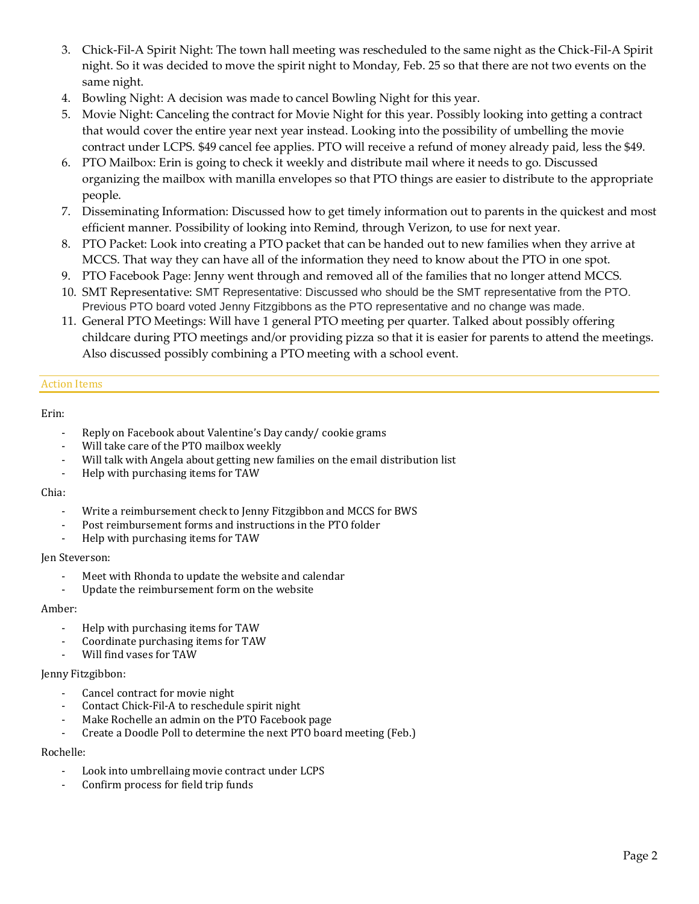- 3. Chick-Fil-A Spirit Night: The town hall meeting was rescheduled to the same night as the Chick-Fil-A Spirit night. So it was decided to move the spirit night to Monday, Feb. 25 so that there are not two events on the same night.
- 4. Bowling Night: A decision was made to cancel Bowling Night for this year.
- 5. Movie Night: Canceling the contract for Movie Night for this year. Possibly looking into getting a contract that would cover the entire year next year instead. Looking into the possibility of umbelling the movie contract under LCPS. \$49 cancel fee applies. PTO will receive a refund of money already paid, less the \$49.
- 6. PTO Mailbox: Erin is going to check it weekly and distribute mail where it needs to go. Discussed organizing the mailbox with manilla envelopes so that PTO things are easier to distribute to the appropriate people.
- 7. Disseminating Information: Discussed how to get timely information out to parents in the quickest and most efficient manner. Possibility of looking into Remind, through Verizon, to use for next year.
- 8. PTO Packet: Look into creating a PTO packet that can be handed out to new families when they arrive at MCCS. That way they can have all of the information they need to know about the PTO in one spot.
- 9. PTO Facebook Page: Jenny went through and removed all of the families that no longer attend MCCS.
- 10. SMT Representative: SMT Representative: Discussed who should be the SMT representative from the PTO. Previous PTO board voted Jenny Fitzgibbons as the PTO representative and no change was made.
- 11. General PTO Meetings: Will have 1 general PTO meeting per quarter. Talked about possibly offering childcare during PTO meetings and/or providing pizza so that it is easier for parents to attend the meetings. Also discussed possibly combining a PTO meeting with a school event.

## Action Items

# Erin:

- Reply on Facebook about Valentine's Day candy/ cookie grams
- Will take care of the PTO mailbox weekly
- Will talk with Angela about getting new families on the email distribution list
- Help with purchasing items for TAW

### Chia:

- Write a reimbursement check to Jenny Fitzgibbon and MCCS for BWS
- Post reimbursement forms and instructions in the PTO folder
- Help with purchasing items for TAW

### Jen Steverson:

- Meet with Rhonda to update the website and calendar
- Update the reimbursement form on the website

### Amber:

- Help with purchasing items for TAW
- Coordinate purchasing items for TAW
- Will find vases for TAW

### Jenny Fitzgibbon:

- Cancel contract for movie night
- Contact Chick-Fil-A to reschedule spirit night
- Make Rochelle an admin on the PTO Facebook page
- Create a Doodle Poll to determine the next PTO board meeting (Feb.)

### Rochelle:

- Look into umbrellaing movie contract under LCPS
- Confirm process for field trip funds